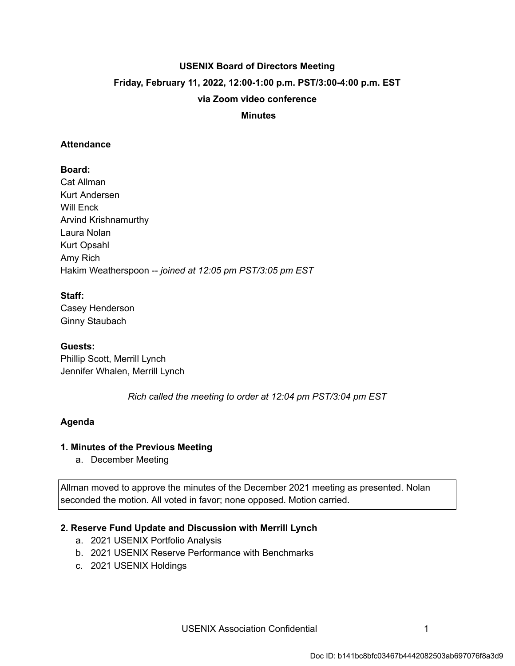# **USENIX Board of Directors Meeting Friday, February 11, 2022, 12:00-1:00 p.m. PST/3:00-4:00 p.m. EST via Zoom video conference**

#### **Minutes**

#### **Attendance**

# **Board:**

Cat Allman Kurt Andersen Will Enck Arvind Krishnamurthy Laura Nolan Kurt Opsahl Amy Rich Hakim Weatherspoon -- *joined at 12:05 pm PST/3:05 pm EST* 

## **Staff:**

Casey Henderson Ginny Staubach

## **Guests:**

Phillip Scott, Merrill Lynch Jennifer Whalen, Merrill Lynch

 *Rich called the meeting to order at 12:04 pm PST/3:04 pm EST* 

## **Agenda**

## **1. Minutes of the Previous Meeting**

a. December Meeting

Allman moved to approve the minutes of the December 2021 meeting as presented. Nolan seconded the motion. All voted in favor; none opposed. Motion carried.

## **2. Reserve Fund Update and Discussion with Merrill Lynch**

- a. 2021 USENIX Portfolio Analysis
- b. 2021 USENIX Reserve Performance with Benchmarks
- c. 2021 USENIX Holdings

USENIX Association Confidential **1** 1